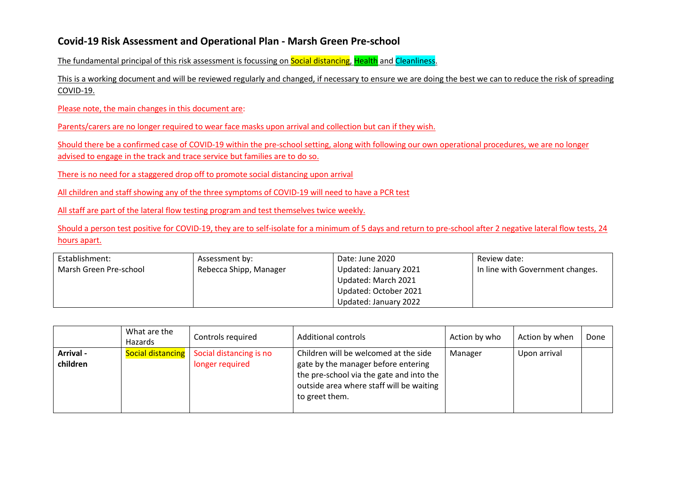## **Covid-19 Risk Assessment and Operational Plan - Marsh Green Pre-school**

The fundamental principal of this risk assessment is focussing on **Social distancing, Health** and Cleanliness.

This is a working document and will be reviewed regularly and changed, if necessary to ensure we are doing the best we can to reduce the risk of spreading COVID-19.

Please note, the main changes in this document are:

Parents/carers are no longer required to wear face masks upon arrival and collection but can if they wish.

Should there be a confirmed case of COVID-19 within the pre-school setting, along with following our own operational procedures, we are no longer advised to engage in the track and trace service but families are to do so.

There is no need for a staggered drop off to promote social distancing upon arrival

All children and staff showing any of the three symptoms of COVID-19 will need to have a PCR test

All staff are part of the lateral flow testing program and test themselves twice weekly.

Should a person test positive for COVID-19, they are to self-isolate for a minimum of 5 days and return to pre-school after 2 negative lateral flow tests, 24 hours apart.

| Establishment:         | Assessment by:         | Date: June 2020       | Review date:                     |
|------------------------|------------------------|-----------------------|----------------------------------|
| Marsh Green Pre-school | Rebecca Shipp, Manager | Updated: January 2021 | In line with Government changes. |
|                        |                        | Updated: March 2021   |                                  |
|                        |                        | Updated: October 2021 |                                  |
|                        |                        | Updated: January 2022 |                                  |

|                       | What are the<br>Hazards | Controls required                                              | <b>Additional controls</b>                                                                                                                                                             | Action by who | Action by when | Done |
|-----------------------|-------------------------|----------------------------------------------------------------|----------------------------------------------------------------------------------------------------------------------------------------------------------------------------------------|---------------|----------------|------|
| Arrival -<br>children |                         | Social distancing   Social distancing is no<br>longer required | Children will be welcomed at the side<br>gate by the manager before entering<br>the pre-school via the gate and into the<br>outside area where staff will be waiting<br>to greet them. | Manager       | Upon arrival   |      |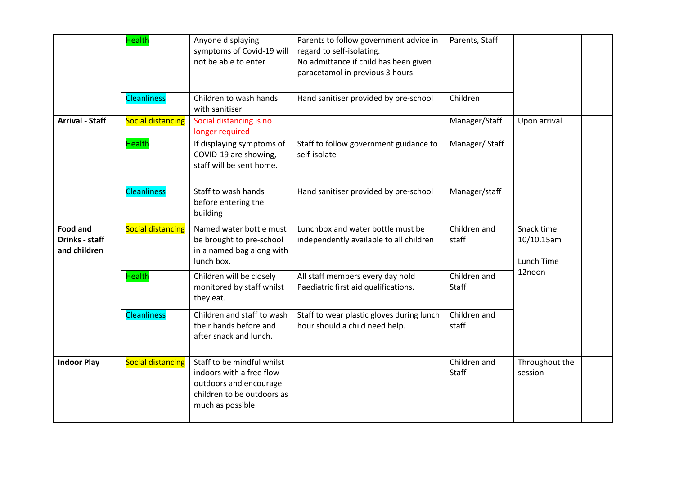|                                                          | <b>Health</b>            | Anyone displaying<br>symptoms of Covid-19 will<br>not be able to enter                                                              | Parents to follow government advice in<br>regard to self-isolating.<br>No admittance if child has been given<br>paracetamol in previous 3 hours. | Parents, Staff               |                                        |  |
|----------------------------------------------------------|--------------------------|-------------------------------------------------------------------------------------------------------------------------------------|--------------------------------------------------------------------------------------------------------------------------------------------------|------------------------------|----------------------------------------|--|
|                                                          | <b>Cleanliness</b>       | Children to wash hands<br>with sanitiser                                                                                            | Hand sanitiser provided by pre-school                                                                                                            | Children                     |                                        |  |
| <b>Arrival - Staff</b>                                   | <b>Social distancing</b> | Social distancing is no<br>longer required                                                                                          |                                                                                                                                                  | Manager/Staff                | Upon arrival                           |  |
|                                                          | <b>Health</b>            | If displaying symptoms of<br>COVID-19 are showing,<br>staff will be sent home.                                                      | Staff to follow government guidance to<br>self-isolate                                                                                           | Manager/Staff                |                                        |  |
|                                                          | <b>Cleanliness</b>       | Staff to wash hands<br>before entering the<br>building                                                                              | Hand sanitiser provided by pre-school                                                                                                            | Manager/staff                |                                        |  |
| <b>Food and</b><br><b>Drinks - staff</b><br>and children | <b>Social distancing</b> | Named water bottle must<br>be brought to pre-school<br>in a named bag along with<br>lunch box.                                      | Lunchbox and water bottle must be<br>independently available to all children                                                                     | Children and<br>staff        | Snack time<br>10/10.15am<br>Lunch Time |  |
|                                                          | <b>Health</b>            | Children will be closely<br>monitored by staff whilst<br>they eat.                                                                  | All staff members every day hold<br>Paediatric first aid qualifications.                                                                         | Children and<br><b>Staff</b> | 12noon                                 |  |
|                                                          | <b>Cleanliness</b>       | Children and staff to wash<br>their hands before and<br>after snack and lunch.                                                      | Staff to wear plastic gloves during lunch<br>hour should a child need help.                                                                      | Children and<br>staff        |                                        |  |
| <b>Indoor Play</b>                                       | <b>Social distancing</b> | Staff to be mindful whilst<br>indoors with a free flow<br>outdoors and encourage<br>children to be outdoors as<br>much as possible. |                                                                                                                                                  | Children and<br><b>Staff</b> | Throughout the<br>session              |  |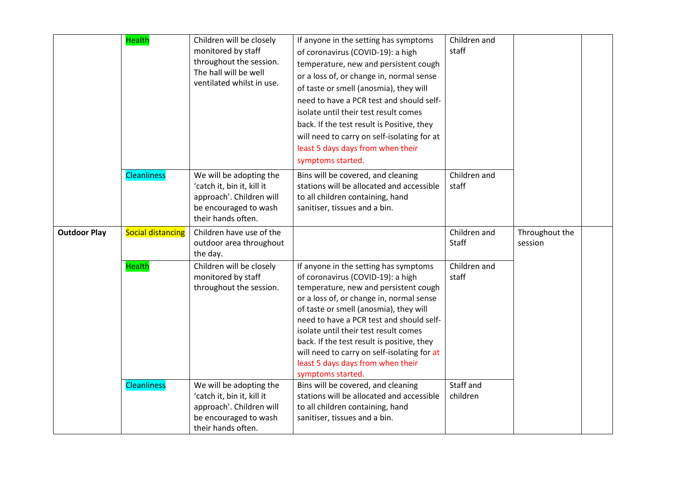|                     | <b>Health</b>            | Children will be closely<br>monitored by staff<br>throughout the session.<br>The hall will be well<br>ventilated whilst in use.  | If anyone in the setting has symptoms<br>of coronavirus (COVID-19): a high<br>temperature, new and persistent cough<br>or a loss of, or change in, normal sense<br>of taste or smell (anosmia), they will<br>need to have a PCR test and should self-<br>isolate until their test result comes<br>back. If the test result is Positive, they<br>will need to carry on self-isolating for at<br>least 5 days days from when their<br>symptoms started. | Children and<br>staff |                           |  |
|---------------------|--------------------------|----------------------------------------------------------------------------------------------------------------------------------|-------------------------------------------------------------------------------------------------------------------------------------------------------------------------------------------------------------------------------------------------------------------------------------------------------------------------------------------------------------------------------------------------------------------------------------------------------|-----------------------|---------------------------|--|
|                     | <b>Cleanliness</b>       | We will be adopting the<br>'catch it, bin it, kill it<br>approach'. Children will<br>be encouraged to wash<br>their hands often. | Bins will be covered, and cleaning<br>stations will be allocated and accessible<br>to all children containing, hand<br>sanitiser, tissues and a bin.                                                                                                                                                                                                                                                                                                  | Children and<br>staff |                           |  |
| <b>Outdoor Play</b> | <b>Social distancing</b> | Children have use of the<br>outdoor area throughout<br>the day.                                                                  |                                                                                                                                                                                                                                                                                                                                                                                                                                                       | Children and<br>Staff | Throughout the<br>session |  |
|                     | <b>Health</b>            | Children will be closely<br>monitored by staff<br>throughout the session.                                                        | If anyone in the setting has symptoms<br>of coronavirus (COVID-19): a high<br>temperature, new and persistent cough<br>or a loss of, or change in, normal sense<br>of taste or smell (anosmia), they will<br>need to have a PCR test and should self-<br>isolate until their test result comes<br>back. If the test result is positive, they<br>will need to carry on self-isolating for at<br>least 5 days days from when their<br>symptoms started. | Children and<br>staff |                           |  |
|                     | <b>Cleanliness</b>       | We will be adopting the<br>'catch it, bin it, kill it<br>approach'. Children will<br>be encouraged to wash<br>their hands often. | Bins will be covered, and cleaning<br>stations will be allocated and accessible<br>to all children containing, hand<br>sanitiser, tissues and a bin.                                                                                                                                                                                                                                                                                                  | Staff and<br>children |                           |  |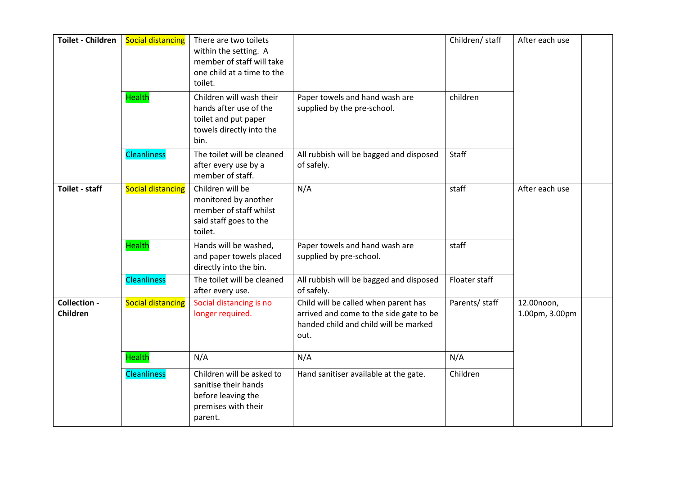| <b>Toilet - Children</b> | <b>Social distancing</b> | There are two toilets<br>within the setting. A<br>member of staff will take<br>one child at a time to the<br>toilet. |                                                                                                                                  | Children/ staff | After each use               |  |
|--------------------------|--------------------------|----------------------------------------------------------------------------------------------------------------------|----------------------------------------------------------------------------------------------------------------------------------|-----------------|------------------------------|--|
|                          | <b>Health</b>            | Children will wash their<br>hands after use of the<br>toilet and put paper<br>towels directly into the<br>bin.       | Paper towels and hand wash are<br>supplied by the pre-school.                                                                    | children        |                              |  |
|                          | <b>Cleanliness</b>       | The toilet will be cleaned<br>after every use by a<br>member of staff.                                               | All rubbish will be bagged and disposed<br>of safely.                                                                            | Staff           |                              |  |
| Toilet - staff           | <b>Social distancing</b> | Children will be<br>monitored by another<br>member of staff whilst<br>said staff goes to the<br>toilet.              | N/A                                                                                                                              | staff           | After each use               |  |
|                          | <b>Health</b>            | Hands will be washed,<br>and paper towels placed<br>directly into the bin.                                           | Paper towels and hand wash are<br>supplied by pre-school.                                                                        | staff           |                              |  |
|                          | <b>Cleanliness</b>       | The toilet will be cleaned<br>after every use.                                                                       | All rubbish will be bagged and disposed<br>of safely.                                                                            | Floater staff   |                              |  |
| Collection -<br>Children | <b>Social distancing</b> | Social distancing is no<br>longer required.                                                                          | Child will be called when parent has<br>arrived and come to the side gate to be<br>handed child and child will be marked<br>out. | Parents/ staff  | 12.00noon,<br>1.00pm, 3.00pm |  |
|                          | <b>Health</b>            | N/A                                                                                                                  | N/A                                                                                                                              | N/A             |                              |  |
|                          | <b>Cleanliness</b>       | Children will be asked to<br>sanitise their hands<br>before leaving the<br>premises with their<br>parent.            | Hand sanitiser available at the gate.                                                                                            | Children        |                              |  |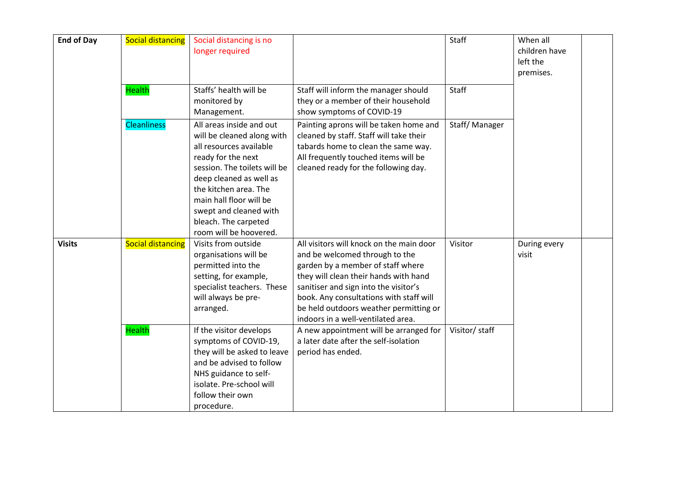| <b>End of Day</b> | <b>Social distancing</b> | Social distancing is no<br>longer required                                                                                                                                                                                                                                                         |                                                                                                                                                                                                                                                                                                                              | Staff          | When all<br>children have<br>left the<br>premises. |  |
|-------------------|--------------------------|----------------------------------------------------------------------------------------------------------------------------------------------------------------------------------------------------------------------------------------------------------------------------------------------------|------------------------------------------------------------------------------------------------------------------------------------------------------------------------------------------------------------------------------------------------------------------------------------------------------------------------------|----------------|----------------------------------------------------|--|
|                   | <b>Health</b>            | Staffs' health will be<br>monitored by<br>Management.                                                                                                                                                                                                                                              | Staff will inform the manager should<br>they or a member of their household<br>show symptoms of COVID-19                                                                                                                                                                                                                     | Staff          |                                                    |  |
|                   | <b>Cleanliness</b>       | All areas inside and out<br>will be cleaned along with<br>all resources available<br>ready for the next<br>session. The toilets will be<br>deep cleaned as well as<br>the kitchen area. The<br>main hall floor will be<br>swept and cleaned with<br>bleach. The carpeted<br>room will be hoovered. | Painting aprons will be taken home and<br>cleaned by staff. Staff will take their<br>tabards home to clean the same way.<br>All frequently touched items will be<br>cleaned ready for the following day.                                                                                                                     | Staff/Manager  |                                                    |  |
| <b>Visits</b>     | <b>Social distancing</b> | Visits from outside<br>organisations will be<br>permitted into the<br>setting, for example,<br>specialist teachers. These<br>will always be pre-<br>arranged.                                                                                                                                      | All visitors will knock on the main door<br>and be welcomed through to the<br>garden by a member of staff where<br>they will clean their hands with hand<br>sanitiser and sign into the visitor's<br>book. Any consultations with staff will<br>be held outdoors weather permitting or<br>indoors in a well-ventilated area. | Visitor        | During every<br>visit                              |  |
|                   | <b>Health</b>            | If the visitor develops<br>symptoms of COVID-19,<br>they will be asked to leave<br>and be advised to follow<br>NHS guidance to self-<br>isolate. Pre-school will<br>follow their own<br>procedure.                                                                                                 | A new appointment will be arranged for<br>a later date after the self-isolation<br>period has ended.                                                                                                                                                                                                                         | Visitor/ staff |                                                    |  |